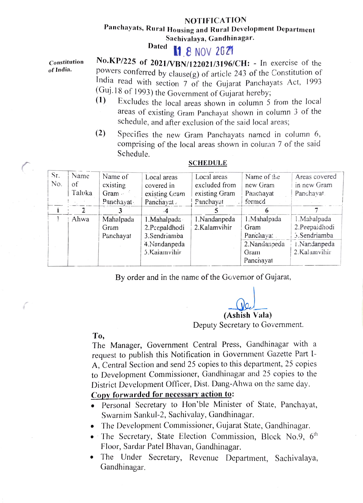### NOTIFICATION

# Panchayats, Rural Housing and Rural Development Department Sachivalaya, Gandhinagar.<br>Dated **BA** A MONTREAD

## **11 8 NOV 2021**

Constitution of India.

No.KP/225 of 2021/VBN/122021/3196/CH: - In exercise of the powers conferred by clause(g) of article 243 of the Constitution of India read with section 7 of the Gujarat Panchayats Act, 1993 (Guj.18 of 1993) the Government of Gujarat hereby;<br>(1) Excludes the local grass shown in column 5

- Excludes the local areas shown in column 5 from the local areas of existing Gram Panchayat shown in column 3 of the schedule, and after exclusion of the said local areas;
- (2) Specifies the new Gram Panchayats named in column 6, comprising of the local areas shown in column 7 of the said Schedule.

| Sr.<br>No. | Name<br>of<br>Taluka | Name of<br>existing       | Local areas<br>covered in   | Local areas<br>excluded from | Name of the<br>new Gram | Areas covered<br>in new Gram |
|------------|----------------------|---------------------------|-----------------------------|------------------------------|-------------------------|------------------------------|
|            |                      | Gram $\cdot$<br>Panchayat | existing Gram<br>Panchayat. | existing Gram<br>Panchayat   | Parichayat<br>formed    | Panchayat.                   |
|            |                      |                           |                             |                              |                         |                              |
|            | Ahwa                 | Mahalpada                 | 1. Mahalpada                | 1.Nandanpeda                 | 1. Mahalpada            | 1. Mahalpada                 |
|            |                      | Gram                      | 2.Peepaldhodi               | 2.Kalamvihir                 | Gram                    | 2.Peepaidhodi                |
|            |                      | Panchayat                 | 3.Sendriamba                |                              | Panchayat               | 5.Sendriamba                 |
|            |                      |                           | 4.Nandanpeda                |                              | 2.Nandanpeda            | 1.Nandanpeda                 |
|            |                      |                           | 5.Kalamvihir                |                              | Gram                    | 2.Kalamvihir                 |
|            |                      |                           |                             |                              | Panchayat               |                              |

#### SCHEDULE

By order and in the name of the Governor of Gujarat,

(Ashish Vala) Deputy Secretary to Govermment

#### To,

b

The Manager, Government Central Press, Gandhinagar with a request to publish this Notification in Government Gazette Part I-A, Central Section and send 25 copies to this department, 25 copies to Development Commissioner, Gandhinagar and 25 copies to the District Development Officer, Dist. Dang-Ahwa on the same day.

## Copy forwarded for necessary action to:

- .Personal Secretary to Hon'ble Minister of State, Panchayat, Swarnim Sankul-2, Sachivalay, Gandhinagar.
- .The Development Commissioner, Gujarat State, Gandhinagar.
- $\bullet$  The Secretary, State Election Commission, Block No.9,  $6<sup>th</sup>$ Floor, Sardar Patel Bhavan, Gandhinagar.
- The Under Secretary, Revenue Department, Sachivalaya, Gandhinagar.